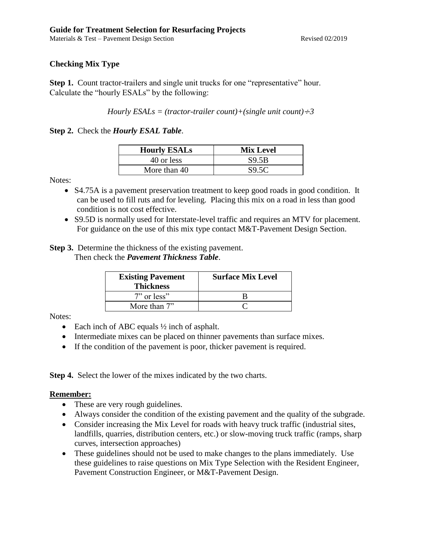Materials & Test – Pavement Design Section Revised 02/2019

# **Checking Mix Type**

**Step 1.** Count tractor-trailers and single unit trucks for one "representative" hour. Calculate the "hourly ESALs" by the following:

*Hourly ESALs = (tractor-trailer count)+(single unit count)* $\div 3$ 

**Step 2.** Check the *Hourly ESAL Table*.

| <b>Hourly ESALs</b> | <b>Mix Level</b> |
|---------------------|------------------|
| 40 or less          | S9.5B            |
| More than 40        | S9.5C            |

Notes:

- S4.75A is a pavement preservation treatment to keep good roads in good condition. It can be used to fill ruts and for leveling. Placing this mix on a road in less than good condition is not cost effective.
- S9.5D is normally used for Interstate-level traffic and requires an MTV for placement. For guidance on the use of this mix type contact M&T-Pavement Design Section.

**Step 3.** Determine the thickness of the existing pavement. Then check the *Pavement Thickness Table*.

| <b>Existing Pavement</b><br><b>Thickness</b> | <b>Surface Mix Level</b> |
|----------------------------------------------|--------------------------|
| $7"$ or less"                                |                          |
| More than 7"                                 |                          |

Notes:

- Each inch of ABC equals  $\frac{1}{2}$  inch of asphalt.
- Intermediate mixes can be placed on thinner pavements than surface mixes.
- If the condition of the pavement is poor, thicker pavement is required.

**Step 4.** Select the lower of the mixes indicated by the two charts.

### **Remember:**

- These are very rough guidelines.
- Always consider the condition of the existing pavement and the quality of the subgrade.
- Consider increasing the Mix Level for roads with heavy truck traffic (industrial sites, landfills, quarries, distribution centers, etc.) or slow-moving truck traffic (ramps, sharp curves, intersection approaches)
- These guidelines should not be used to make changes to the plans immediately. Use these guidelines to raise questions on Mix Type Selection with the Resident Engineer, Pavement Construction Engineer, or M&T-Pavement Design.